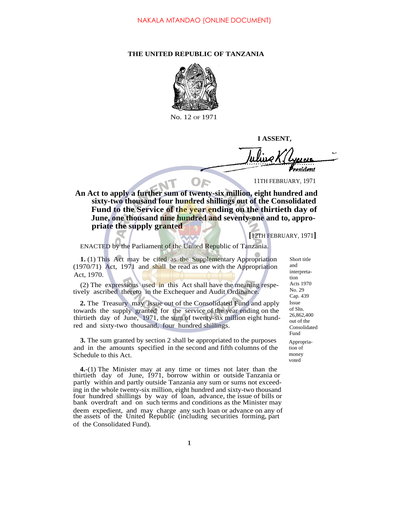## **THE UNITED REPUBLIC OF TANZANIA**



No. 12 OF 1971

**I ASSENT,**

resident

11TH FEBRUARY, 1971

. **An Act to apply a further sum of twenty-six million, eight hundred and sixty-two thousand four hundred shillings out of the Consolidated Fund to the Service of the year ending on the thirtieth day of June, one thousand nine hundred and seventy-one and to, appropriate the supply granted**

**[**12TH FEBRUARY, 1971**]**

ENACTED by the Parliament of the United Republic of Tanzania.

**1.** (1) This Act may be cited as the Supplementary Appropriation (1970/71) Act, 1971 and shall be read as one with the Appropriation Act, 1970.

(2) The expressions used in this Act shall have the meaning respetively ascribed thereto in the Exchequer and Audit Ordinance.

**2.** The Treasury may issue out of the Consolidated Fund and apply towards the supply granted for the service of the year ending on the thirtieth day of June, 1971, the sum of twenty-six million eight hundred and sixty-two thousand, four hundred shillings.

**3.** The sum granted by section 2 shall be appropriated to the purposes and in the amounts specified in the second and fifth columns of the Schedule to this Act.

**4.**-(1) The Minister may at any time or times not later than the thirtieth day of June, 1971, borrow within or outside Tanzania or partly within and partly outside Tanzania any sum or sums not exceeding in the whole twenty-six million, eight hundred and sixty-two thousand four hundred shillings by way of loan, advance, the issue of bills or bank overdraft and on such terms and conditions as the Minister may deem expedient, and may charge any such loan or advance on any of the assets of the United Republic (including securities forming, part of the Consolidated Fund).

Short title and interpretation Acts 1970 No. 29 Cap. 439 Issue of Shs. 26,862,400 out of the Consolidated Fund Appropriation of money voted